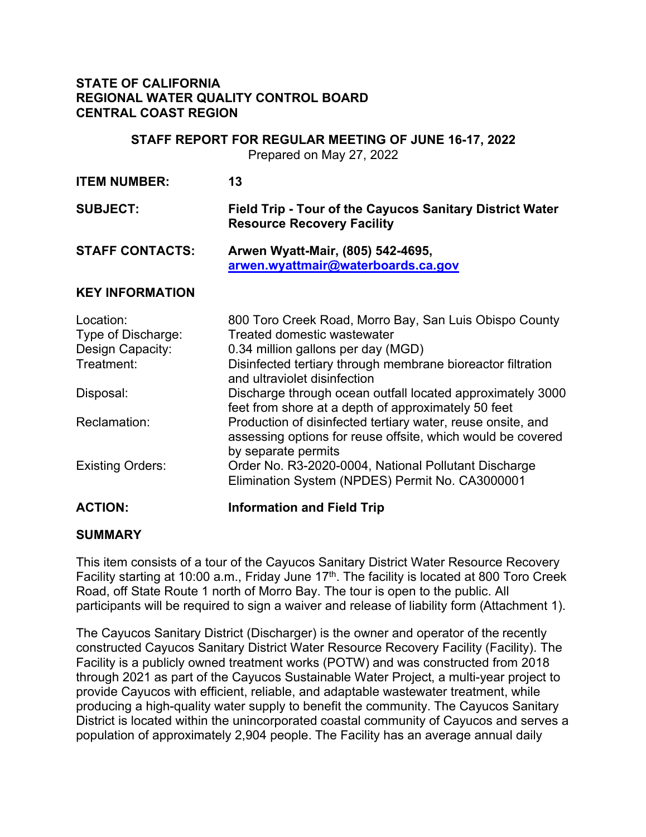### **STATE OF CALIFORNIA REGIONAL WATER QUALITY CONTROL BOARD CENTRAL COAST REGION**

### **STAFF REPORT FOR REGULAR MEETING OF JUNE 16-17, 2022**

Prepared on May 27, 2022

| <b>ITEM NUMBER:</b>                                                            | 13                                                                                                                                                                                                                                                                                       |
|--------------------------------------------------------------------------------|------------------------------------------------------------------------------------------------------------------------------------------------------------------------------------------------------------------------------------------------------------------------------------------|
| <b>SUBJECT:</b>                                                                | <b>Field Trip - Tour of the Cayucos Sanitary District Water</b><br><b>Resource Recovery Facility</b>                                                                                                                                                                                     |
| <b>STAFF CONTACTS:</b>                                                         | Arwen Wyatt-Mair, (805) 542-4695,<br>arwen.wyattmair@waterboards.ca.gov                                                                                                                                                                                                                  |
| <b>KEY INFORMATION</b>                                                         |                                                                                                                                                                                                                                                                                          |
| Location:<br>Type of Discharge:<br>Design Capacity:<br>Treatment:<br>Disposal: | 800 Toro Creek Road, Morro Bay, San Luis Obispo County<br>Treated domestic wastewater<br>0.34 million gallons per day (MGD)<br>Disinfected tertiary through membrane bioreactor filtration<br>and ultraviolet disinfection<br>Discharge through ocean outfall located approximately 3000 |
| Reclamation:                                                                   | feet from shore at a depth of approximately 50 feet<br>Production of disinfected tertiary water, reuse onsite, and<br>assessing options for reuse offsite, which would be covered<br>by separate permits                                                                                 |
| <b>Existing Orders:</b>                                                        | Order No. R3-2020-0004, National Pollutant Discharge<br>Elimination System (NPDES) Permit No. CA3000001                                                                                                                                                                                  |
| <b>ACTION:</b>                                                                 | <b>Information and Field Trip</b>                                                                                                                                                                                                                                                        |

### **SUMMARY**

This item consists of a tour of the Cayucos Sanitary District Water Resource Recovery Facility starting at 10:00 a.m., Friday June 17<sup>th</sup>. The facility is located at 800 Toro Creek Road, off State Route 1 north of Morro Bay. The tour is open to the public. All participants will be required to sign a waiver and release of liability form (Attachment 1).

The Cayucos Sanitary District (Discharger) is the owner and operator of the recently constructed Cayucos Sanitary District Water Resource Recovery Facility (Facility). The Facility is a publicly owned treatment works (POTW) and was constructed from 2018 through 2021 as part of the Cayucos Sustainable Water Project, a multi-year project to provide Cayucos with efficient, reliable, and adaptable wastewater treatment, while producing a high-quality water supply to benefit the community. The Cayucos Sanitary District is located within the unincorporated coastal community of Cayucos and serves a population of approximately 2,904 people. The Facility has an average annual daily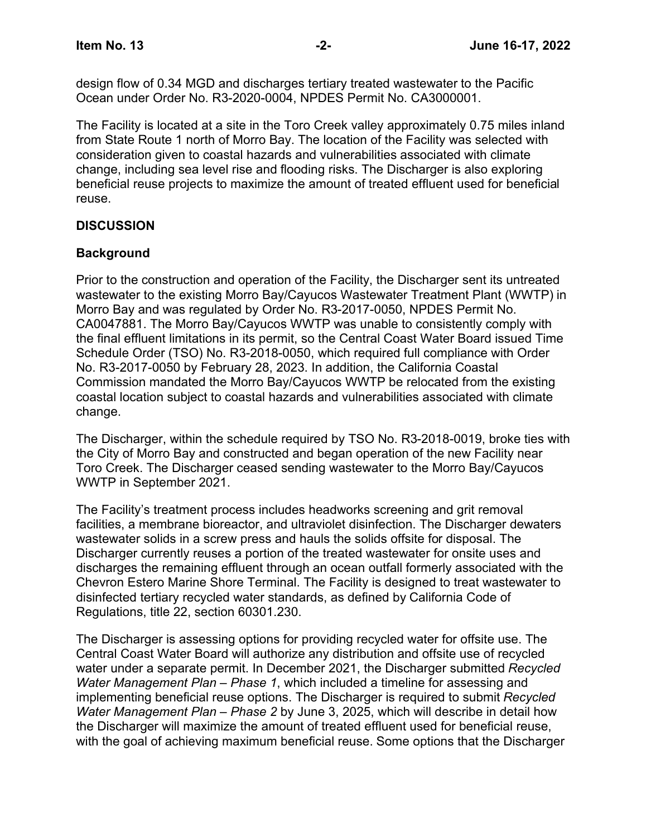design flow of 0.34 MGD and discharges tertiary treated wastewater to the Pacific Ocean under Order No. R3-2020-0004, NPDES Permit No. CA3000001.

The Facility is located at a site in the Toro Creek valley approximately 0.75 miles inland from State Route 1 north of Morro Bay. The location of the Facility was selected with consideration given to coastal hazards and vulnerabilities associated with climate change, including sea level rise and flooding risks. The Discharger is also exploring beneficial reuse projects to maximize the amount of treated effluent used for beneficial reuse.

# **DISCUSSION**

### **Background**

Prior to the construction and operation of the Facility, the Discharger sent its untreated wastewater to the existing Morro Bay/Cayucos Wastewater Treatment Plant (WWTP) in Morro Bay and was regulated by Order No. R3-2017-0050, NPDES Permit No. CA0047881. The Morro Bay/Cayucos WWTP was unable to consistently comply with the final effluent limitations in its permit, so the Central Coast Water Board issued Time Schedule Order (TSO) No. R3-2018-0050, which required full compliance with Order No. R3-2017-0050 by February 28, 2023. In addition, the California Coastal Commission mandated the Morro Bay/Cayucos WWTP be relocated from the existing coastal location subject to coastal hazards and vulnerabilities associated with climate change.

The Discharger, within the schedule required by TSO No. R3-2018-0019, broke ties with the City of Morro Bay and constructed and began operation of the new Facility near Toro Creek. The Discharger ceased sending wastewater to the Morro Bay/Cayucos WWTP in September 2021.

The Facility's treatment process includes headworks screening and grit removal facilities, a membrane bioreactor, and ultraviolet disinfection. The Discharger dewaters wastewater solids in a screw press and hauls the solids offsite for disposal. The Discharger currently reuses a portion of the treated wastewater for onsite uses and discharges the remaining effluent through an ocean outfall formerly associated with the Chevron Estero Marine Shore Terminal. The Facility is designed to treat wastewater to disinfected tertiary recycled water standards, as defined by California Code of Regulations, title 22, section 60301.230.

The Discharger is assessing options for providing recycled water for offsite use. The Central Coast Water Board will authorize any distribution and offsite use of recycled water under a separate permit. In December 2021, the Discharger submitted *Recycled Water Management Plan – Phase 1*, which included a timeline for assessing and implementing beneficial reuse options. The Discharger is required to submit *Recycled Water Management Plan – Phase 2* by June 3, 2025, which will describe in detail how the Discharger will maximize the amount of treated effluent used for beneficial reuse, with the goal of achieving maximum beneficial reuse. Some options that the Discharger